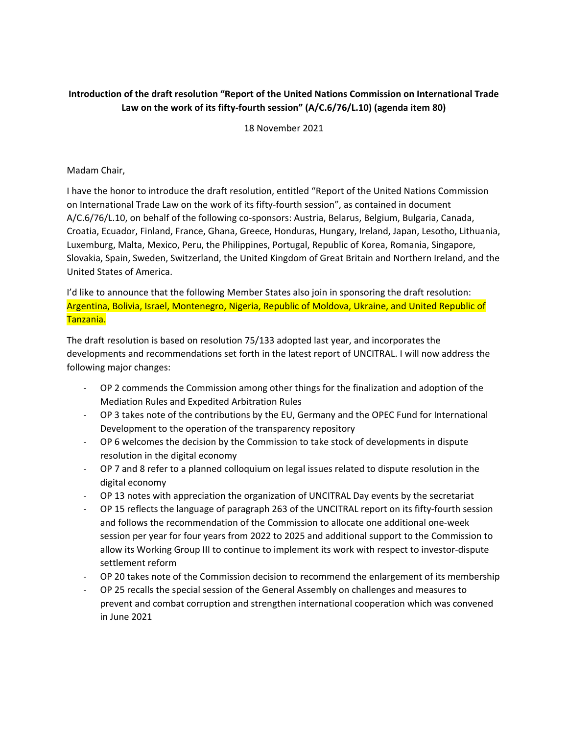## **Introduction of the draft resolution "Report of the United Nations Commission on International Trade Law on the work of its fifty‐fourth session" (A/C.6/76/L.10) (agenda item 80)**

18 November 2021

## Madam Chair,

I have the honor to introduce the draft resolution, entitled "Report of the United Nations Commission on International Trade Law on the work of its fifty‐fourth session", as contained in document A/C.6/76/L.10, on behalf of the following co-sponsors: Austria, Belarus, Belgium, Bulgaria, Canada, Croatia, Ecuador, Finland, France, Ghana, Greece, Honduras, Hungary, Ireland, Japan, Lesotho, Lithuania, Luxemburg, Malta, Mexico, Peru, the Philippines, Portugal, Republic of Korea, Romania, Singapore, Slovakia, Spain, Sweden, Switzerland, the United Kingdom of Great Britain and Northern Ireland, and the United States of America.

I'd like to announce that the following Member States also join in sponsoring the draft resolution: Argentina, Bolivia, Israel, Montenegro, Nigeria, Republic of Moldova, Ukraine, and United Republic of Tanzania.

The draft resolution is based on resolution 75/133 adopted last year, and incorporates the developments and recommendations set forth in the latest report of UNCITRAL. I will now address the following major changes:

- ‐ OP 2 commends the Commission among other things for the finalization and adoption of the Mediation Rules and Expedited Arbitration Rules
- ‐ OP 3 takes note of the contributions by the EU, Germany and the OPEC Fund for International Development to the operation of the transparency repository
- ‐ OP 6 welcomes the decision by the Commission to take stock of developments in dispute resolution in the digital economy
- ‐ OP 7 and 8 refer to a planned colloquium on legal issues related to dispute resolution in the digital economy
- ‐ OP 13 notes with appreciation the organization of UNCITRAL Day events by the secretariat
- ‐ OP 15 reflects the language of paragraph 263 of the UNCITRAL report on its fifty‐fourth session and follows the recommendation of the Commission to allocate one additional one‐week session per year for four years from 2022 to 2025 and additional support to the Commission to allow its Working Group III to continue to implement its work with respect to investor‐dispute settlement reform
- ‐ OP 20 takes note of the Commission decision to recommend the enlargement of its membership
- ‐ OP 25 recalls the special session of the General Assembly on challenges and measures to prevent and combat corruption and strengthen international cooperation which was convened in June 2021